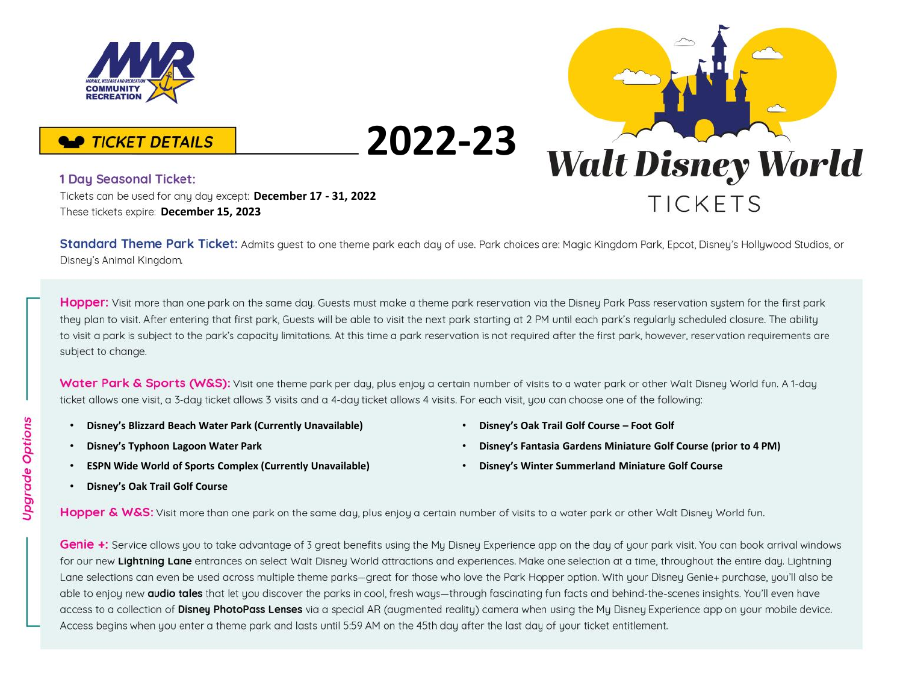

## **2022-23 Walt Disney World TICKFTS**

• **Disney's Oak Trail Golf Course – Foot Golf**

• **Disney's Winter Summerland Miniature Golf Course**

• **Disney's Fantasia Gardens Miniature Golf Course (prior to 4 PM)**

## **TICKET DETAILS**

## 1 Day Seasonal Ticket:

**December 17 - 31, 2022** These tickets expire: December 15, 2023

Standard Theme Park Ticket: Admits quest to one theme park each day of use. Park choices are: Magic Kingdom Park, Epcot, Disney's Hollywood Studios, or Disney's Animal Kingdom.

Hopper: Visit more than one park on the same day. Guests must make a theme park reservation via the Disney Park Pass reservation system for the first park they plan to visit. After entering that first park, Guests will be able to visit the next park starting at 2 PM until each park's regularly scheduled closure. The ability to visit a park is subject to the park's capacity limitations. At this time a park reservation is not required after the first park, however, reservation requirements are subject to change.

Water Park & Sports (W&S): Visit one theme park per day, plus enjoy a certain number of visits to a water park or other Walt Disney World fun. A 1-day ticket allows one visit, a 3-day ticket allows 3 visits and a 4-day ticket allows 4 visits. For each visit, you can choose one of the following:

- **Disney's Blizzard Beach Water Park (Currently Unavailable)**
- **Disney's Typhoon Lagoon Water Park**
- **ESPN Wide World of Sports Complex (Currently Unavailable)**
- **Disney's Oak Trail Golf Course**
- Hopper & W&S: Visit more than one park on the same day, plus enjoy a certain number of visits to a water park or other Walt Disney World fun.

Genie +: Service allows you to take advantage of 3 great benefits using the My Disney Experience app on the day of your park visit. You can book arrival windows for our new Lightning Lane entrances on select Walt Disney World attractions and experiences. Make one selection at a time, throughout the entire day. Lightning Lane selections can even be used across multiple theme parks—great for those who love the Park Hopper option. With your Disney Genie+ purchase, you'll also be able to enjoy new audio tales that let you discover the parks in cool, fresh ways-through fascinating fun facts and behind-the-scenes insights. You'll even have access to a collection of Disney PhotoPass Lenses via a special AR (augmented reality) camera when using the My Disney Experience app on your mobile device. Access begins when you enter a theme park and lasts until 5:59 AM on the 45th day after the last day of your ticket entitlement.